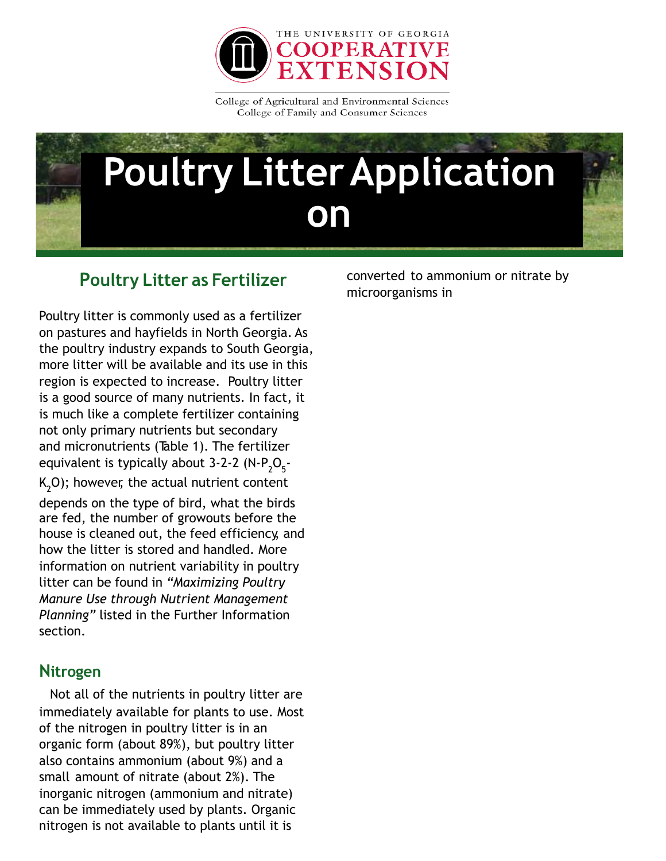

College of Agricultural and Environmental Sciences College of Family and Consumer Sciences

# **Poultry LitterApplication on**

# **Poultry Litter as Fertilizer**

Poultry litter is commonly used as a fertilizer on pastures and hayfields in North Georgia. As the poultry industry expands to South Georgia, more litter will be available and its use in this region is expected to increase. Poultry litter is a good source of many nutrients. In fact, it is much like a complete fertilizer containing not only primary nutrients but secondary and micronutrients (Table 1). The fertilizer equivalent is typically about 3-2-2 (N-P $_{2}^{\ }O_{5}^{\ }$ - $K_{2}$ O); however, the actual nutrient content

depends on the type of bird, what the birds are fed, the number of growouts before the house is cleaned out, the feed efficiency, and how the litter is stored and handled. More information on nutrient variability in poultry litter can be found in *"Maximizing Poultry Manure Use through Nutrient Management Planning"* listed in the Further Information section.

# **Nitrogen**

Not all of the nutrients in poultry litter are immediately available for plants to use. Most of the nitrogen in poultry litter is in an organic form (about 89%), but poultry litter also contains ammonium (about 9%) and a small amount of nitrate (about 2%). The inorganic nitrogen (ammonium and nitrate) can be immediately used by plants. Organic nitrogen is not available to plants until it is

converted to ammonium or nitrate by microorganisms in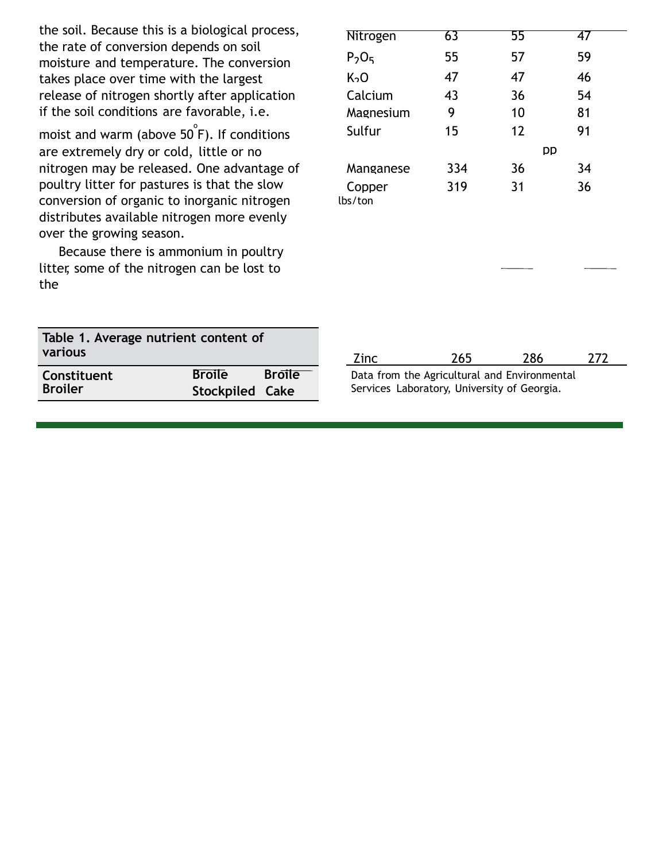the soil. Because this is a biological process, the rate of conversion depends on soil moisture and temperature. The conversion takes place over time with the largest release of nitrogen shortly after application if the soil conditions are favorable, i.e.

moist and warm (above 50 $\degree$ F). If conditions are extremely dry or cold, little or no nitrogen may be released. One advantage of poultry litter for pastures is that the slow conversion of organic to inorganic nitrogen distributes available nitrogen more evenly over the growing season.

Because there is ammonium in poultry litter, some of the nitrogen can be lost to the

**Table 1. Average nutrient content of**

**various**

| Nitrogen         | 63  | 55  | 47  |
|------------------|-----|-----|-----|
| $P_2O_5$         | 55  | 57  | 59  |
| K <sub>2</sub> O | 47  | 47  | 46  |
| Calcium          | 43  | 36  | 54  |
| Magnesium        | 9   | 10  | 81  |
| Sulfur           | 15  | 12  | 91  |
|                  |     | DD  |     |
| Manganese        | 334 | 36  | 34  |
| Copper           | 319 | 31  | 36  |
| lbs/ton          |     |     |     |
|                  |     |     |     |
|                  |     |     |     |
|                  |     |     |     |
|                  |     |     |     |
|                  |     |     |     |
|                  |     |     |     |
|                  |     |     |     |
| Zinc             | 265 | 286 | 272 |
|                  |     |     |     |

| Constituent    | <b>Broile</b>   | <b>Broile</b> | D. |
|----------------|-----------------|---------------|----|
| <b>Broiler</b> | Stockpiled Cake |               | Sε |

|  |  | Data from the Agricultural and Environmental |  |
|--|--|----------------------------------------------|--|
|  |  | Services Laboratory, University of Georgia.  |  |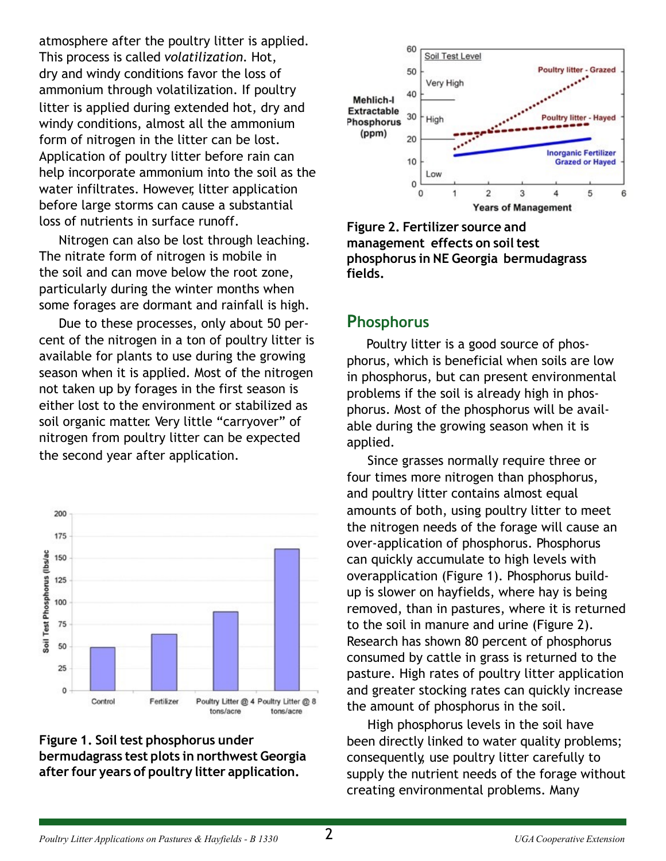atmosphere after the poultry litter is applied. This process is called *volatilization.* Hot, dry and windy conditions favor the loss of ammonium through volatilization. If poultry litter is applied during extended hot, dry and windy conditions, almost all the ammonium form of nitrogen in the litter can be lost. Application of poultry litter before rain can help incorporate ammonium into the soil as the water infiltrates. However, litter application before large storms can cause a substantial loss of nutrients in surface runoff.

Nitrogen can also be lost through leaching. The nitrate form of nitrogen is mobile in the soil and can move below the root zone, particularly during the winter months when some forages are dormant and rainfall is high.

Due to these processes, only about 50 percent of the nitrogen in a ton of poultry litter is available for plants to use during the growing season when it is applied. Most of the nitrogen not taken up by forages in the first season is either lost to the environment or stabilized as soil organic matter. Very little "carryover" of nitrogen from poultry litter can be expected the second year after application.







**Figure 2. Fertilizer source and management effects on soiltest phosphorus in NE Georgia bermudagrass fields.**

# **Phosphorus**

Poultry litter is a good source of phosphorus, which is beneficial when soils are low in phosphorus, but can present environmental problems if the soil is already high in phosphorus. Most of the phosphorus will be available during the growing season when it is applied.

Since grasses normally require three or four times more nitrogen than phosphorus, and poultry litter contains almost equal amounts of both, using poultry litter to meet the nitrogen needs of the forage will cause an over-application of phosphorus. Phosphorus can quickly accumulate to high levels with overapplication (Figure 1). Phosphorus buildup is slower on hayfields, where hay is being removed, than in pastures, where it is returned to the soil in manure and urine (Figure 2). Research has shown 80 percent of phosphorus consumed by cattle in grass is returned to the pasture. High rates of poultry litter application and greater stocking rates can quickly increase the amount of phosphorus in the soil.

High phosphorus levels in the soil have been directly linked to water quality problems; consequently, use poultry litter carefully to supply the nutrient needs of the forage without creating environmental problems. Many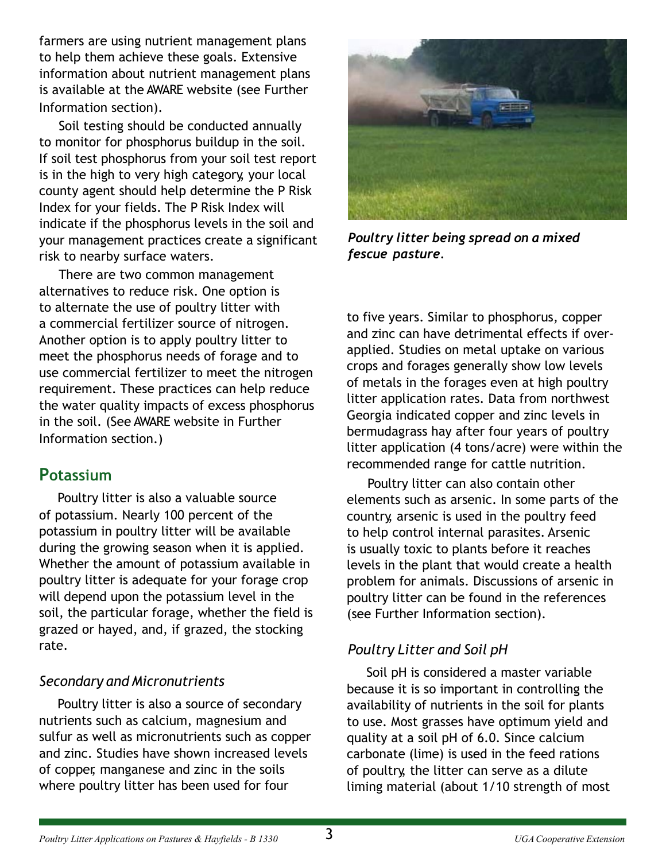farmers are using nutrient management plans to help them achieve these goals. Extensive information about nutrient management plans is available at the AWARE website (see Further Information section).

Soil testing should be conducted annually to monitor for phosphorus buildup in the soil. If soil test phosphorus from your soil test report is in the high to very high category, your local county agent should help determine the P Risk Index for your fields. The P Risk Index will indicate if the phosphorus levels in the soil and your management practices create a significant risk to nearby surface waters.

There are two common management alternatives to reduce risk. One option is to alternate the use of poultry litter with a commercial fertilizer source of nitrogen. Another option is to apply poultry litter to meet the phosphorus needs of forage and to use commercial fertilizer to meet the nitrogen requirement. These practices can help reduce the water quality impacts of excess phosphorus in the soil. (See AWARE website in Further Information section.)

## **Potassium**

Poultry litter is also a valuable source of potassium. Nearly 100 percent of the potassium in poultry litter will be available during the growing season when it is applied. Whether the amount of potassium available in poultry litter is adequate for your forage crop will depend upon the potassium level in the soil, the particular forage, whether the field is grazed or hayed, and, if grazed, the stocking rate.

## *Secondary and Micronutrients*

Poultry litter is also a source of secondary nutrients such as calcium, magnesium and sulfur as well as micronutrients such as copper and zinc. Studies have shown increased levels of copper, manganese and zinc in the soils where poultry litter has been used for four



*Poultry litter being spread on a mixed fescue pasture.*

to five years. Similar to phosphorus, copper and zinc can have detrimental effects if overapplied. Studies on metal uptake on various crops and forages generally show low levels of metals in the forages even at high poultry litter application rates. Data from northwest Georgia indicated copper and zinc levels in bermudagrass hay after four years of poultry litter application (4 tons/acre) were within the recommended range for cattle nutrition.

Poultry litter can also contain other elements such as arsenic. In some parts of the country, arsenic is used in the poultry feed to help control internal parasites. Arsenic is usually toxic to plants before it reaches levels in the plant that would create a health problem for animals. Discussions of arsenic in poultry litter can be found in the references (see Further Information section).

# *Poultry Litter and Soil pH*

Soil pH is considered a master variable because it is so important in controlling the availability of nutrients in the soil for plants to use. Most grasses have optimum yield and quality at a soil pH of 6.0. Since calcium carbonate (lime) is used in the feed rations of poultry, the litter can serve as a dilute liming material (about 1/10 strength of most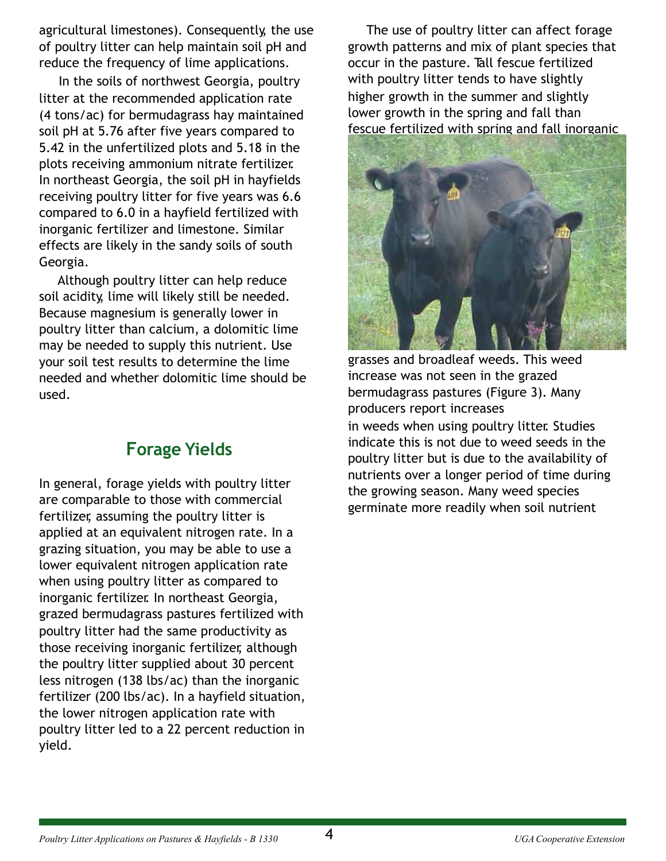agricultural limestones). Consequently, the use of poultry litter can help maintain soil pH and reduce the frequency of lime applications.

In the soils of northwest Georgia, poultry litter at the recommended application rate (4 tons/ac) for bermudagrass hay maintained soil pH at 5.76 after five years compared to 5.42 in the unfertilized plots and 5.18 in the plots receiving ammonium nitrate fertilizer. In northeast Georgia, the soil pH in hayfields receiving poultry litter for five years was 6.6 compared to 6.0 in a hayfield fertilized with inorganic fertilizer and limestone. Similar effects are likely in the sandy soils of south Georgia.

Although poultry litter can help reduce soil acidity, lime will likely still be needed. Because magnesium is generally lower in poultry litter than calcium, a dolomitic lime may be needed to supply this nutrient. Use your soil test results to determine the lime needed and whether dolomitic lime should be used.

# **Forage Yields**

In general, forage yields with poultry litter are comparable to those with commercial fertilizer, assuming the poultry litter is applied at an equivalent nitrogen rate. In a grazing situation, you may be able to use a lower equivalent nitrogen application rate when using poultry litter as compared to inorganic fertilizer. In northeast Georgia, grazed bermudagrass pastures fertilized with poultry litter had the same productivity as those receiving inorganic fertilizer, although the poultry litter supplied about 30 percent less nitrogen (138 lbs/ac) than the inorganic fertilizer (200 lbs/ac). In a hayfield situation, the lower nitrogen application rate with poultry litter led to a 22 percent reduction in yield.

The use of poultry litter can affect forage growth patterns and mix of plant species that occur in the pasture. Tall fescue fertilized with poultry litter tends to have slightly higher growth in the summer and slightly lower growth in the spring and fall than fescue fertilized with spring and fall inorganic



grasses and broadleaf weeds. This weed increase was not seen in the grazed bermudagrass pastures (Figure 3). Many producers report increases in weeds when using poultry litter. Studies indicate this is not due to weed seeds in the poultry litter but is due to the availability of nutrients over a longer period of time during the growing season. Many weed species germinate more readily when soil nutrient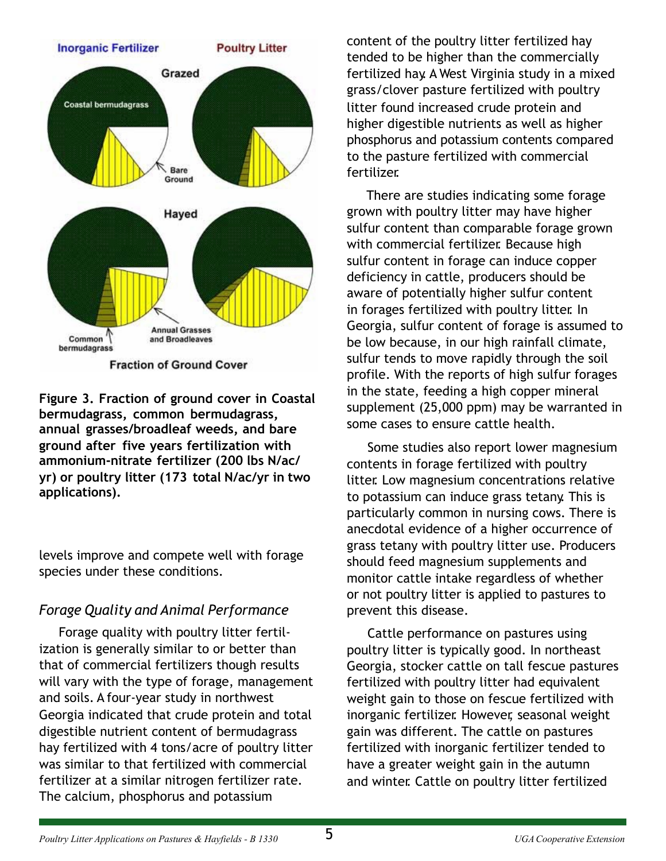

**Fraction of Ground Cover** 

**Figure 3. Fraction of ground cover in Coastal bermudagrass, common bermudagrass, annual grasses/broadleaf weeds, and bare ground after five years fertilization with ammonium-nitrate fertilizer (200 lbs N/ac/ yr) or poultry litter (173 total N/ac/yr in two applications).**

levels improve and compete well with forage species under these conditions.

## *Forage Quality and Animal Performance*

Forage quality with poultry litter fertilization is generally similar to or better than that of commercial fertilizers though results will vary with the type of forage, management and soils. A four-year study in northwest Georgia indicated that crude protein and total digestible nutrient content of bermudagrass hay fertilized with 4 tons/acre of poultry litter was similar to that fertilized with commercial fertilizer at a similar nitrogen fertilizer rate. The calcium, phosphorus and potassium

content of the poultry litter fertilized hay tended to be higher than the commercially fertilized hay. A West Virginia study in a mixed grass/clover pasture fertilized with poultry litter found increased crude protein and higher digestible nutrients as well as higher phosphorus and potassium contents compared to the pasture fertilized with commercial fertilizer.

There are studies indicating some forage grown with poultry litter may have higher sulfur content than comparable forage grown with commercial fertilizer. Because high sulfur content in forage can induce copper deficiency in cattle, producers should be aware of potentially higher sulfur content in forages fertilized with poultry litter. In Georgia, sulfur content of forage is assumed to be low because, in our high rainfall climate, sulfur tends to move rapidly through the soil profile. With the reports of high sulfur forages in the state, feeding a high copper mineral supplement (25,000 ppm) may be warranted in some cases to ensure cattle health.

Some studies also report lower magnesium contents in forage fertilized with poultry litter. Low magnesium concentrations relative to potassium can induce grass tetany. This is particularly common in nursing cows. There is anecdotal evidence of a higher occurrence of grass tetany with poultry litter use. Producers should feed magnesium supplements and monitor cattle intake regardless of whether or not poultry litter is applied to pastures to prevent this disease.

Cattle performance on pastures using poultry litter is typically good. In northeast Georgia, stocker cattle on tall fescue pastures fertilized with poultry litter had equivalent weight gain to those on fescue fertilized with inorganic fertilizer. However, seasonal weight gain was different. The cattle on pastures fertilized with inorganic fertilizer tended to have a greater weight gain in the autumn and winter. Cattle on poultry litter fertilized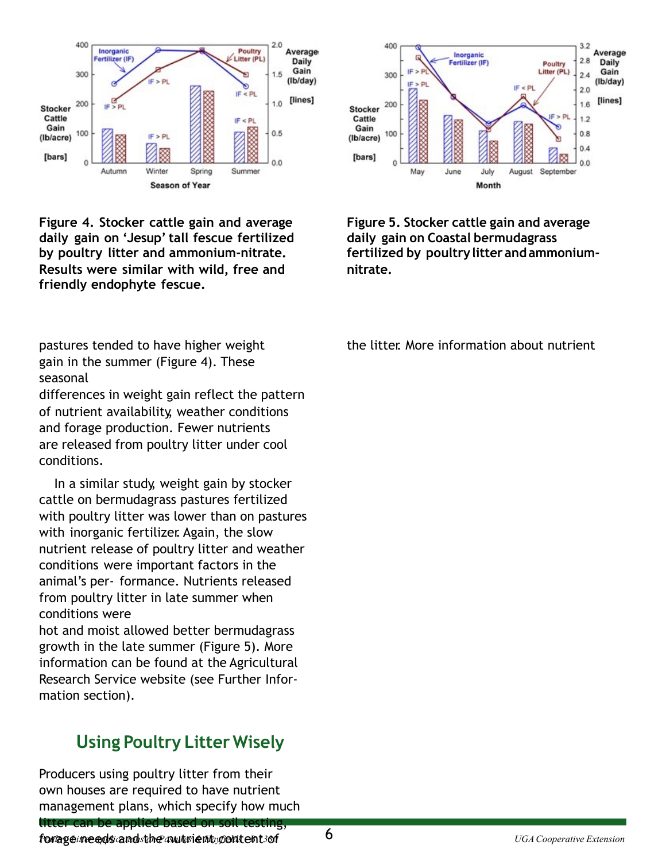

**Figure 4. Stocker cattle gain and average daily gain on 'Jesup'tall fescue fertilized by poultry litter and ammonium-nitrate. Results were similar with wild, free and friendly endophyte fescue.**

pastures tended to have higher weight gain in the summer (Figure 4). These seasonal

differences in weight gain reflect the pattern of nutrient availability, weather conditions and forage production. Fewer nutrients are released from poultry litter under cool conditions.

In a similar study, weight gain by stocker cattle on bermudagrass pastures fertilized with poultry litter was lower than on pastures with inorganic fertilizer. Again, the slow nutrient release of poultry litter and weather conditions were important factors in the animal's per- formance. Nutrients released from poultry litter in late summer when conditions were

hot and moist allowed better bermudagrass growth in the late summer (Figure 5). More information can be found at the Agricultural Research Service website (see Further Information section).

# **Using Poultry Litter Wisely**

Producers using poultry litter from their own houses are required to have nutrient management plans, which specify how much



**Figure 5. Stocker cattle gain and average daily gain on Coastal bermudagrass fertilized by poultrylitterandammoniumnitrate.**

the litter. More information about nutrient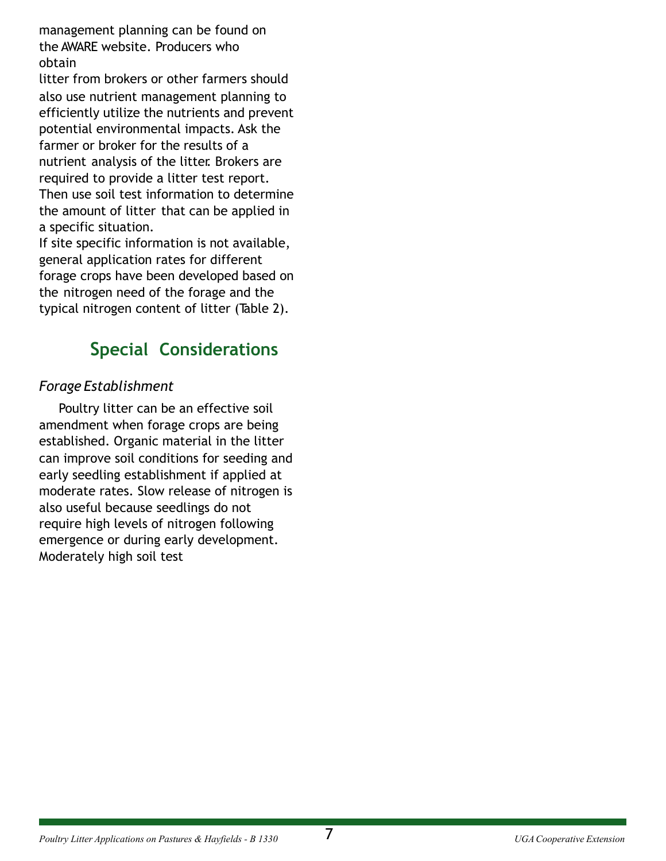management planning can be found on the AWARE website. Producers who obtain

litter from brokers or other farmers should also use nutrient management planning to efficiently utilize the nutrients and prevent potential environmental impacts. Ask the farmer or broker for the results of a nutrient analysis of the litter. Brokers are required to provide a litter test report. Then use soil test information to determine the amount of litter that can be applied in a specific situation.

If site specific information is not available, general application rates for different forage crops have been developed based on the nitrogen need of the forage and the typical nitrogen content of litter (Table 2).

# **Special Considerations**

# *Forage Establishment*

Poultry litter can be an effective soil amendment when forage crops are being established. Organic material in the litter can improve soil conditions for seeding and early seedling establishment if applied at moderate rates. Slow release of nitrogen is also useful because seedlings do not require high levels of nitrogen following emergence or during early development. Moderately high soil test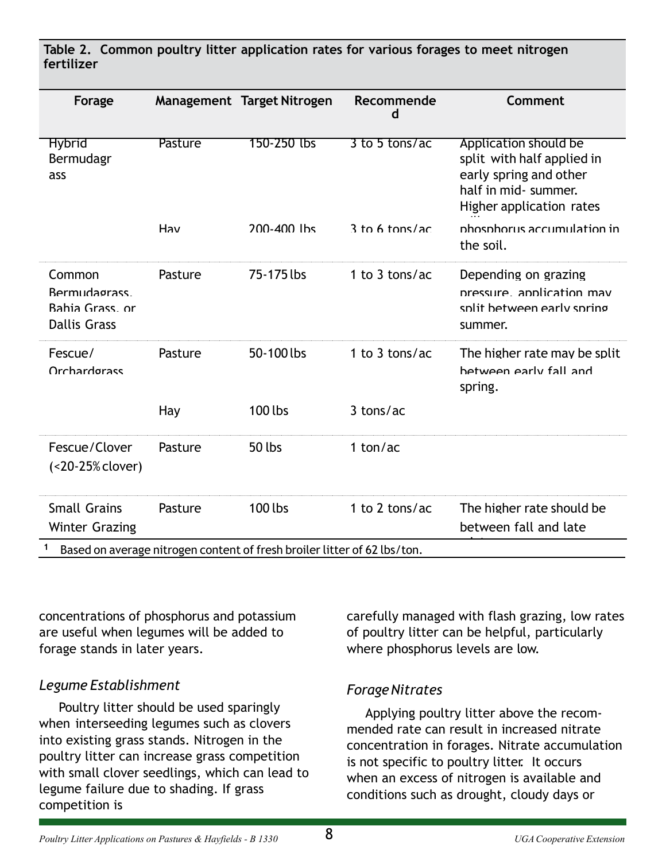**Table 2. Common poultry litter application rates for various forages to meet nitrogen fertilizer**

| Forage                                                                   |         | Management Target Nitrogen | Recommende<br>d  | Comment                                                                                                                           |  |
|--------------------------------------------------------------------------|---------|----------------------------|------------------|-----------------------------------------------------------------------------------------------------------------------------------|--|
| <b>Hybrid</b><br>Bermudagr<br>ass                                        | Pasture | 150-250 lbs                | 3 to 5 tons/ac   | Application should be<br>split with half applied in<br>early spring and other<br>half in mid- summer.<br>Higher application rates |  |
|                                                                          | Hav     | 200-400 lbs                | $3$ to 6 tons/ac | phosphorus accumulation in<br>the soil.                                                                                           |  |
| Common<br><b>Bermudagrass</b><br>Bahia Grass, or<br><b>Dallis Grass</b>  | Pasture | 75-175 lbs                 | 1 to 3 tons/ac   | Depending on grazing<br>pressure application may<br>snlit hetween early snring<br>summer.                                         |  |
| Fescue/<br>Orchardorass                                                  | Pasture | 50-100 lbs                 | 1 to 3 tons/ac   | The higher rate may be split<br>hetween early fall and<br>spring.                                                                 |  |
|                                                                          | Hay     | 100 lbs                    | $3$ tons/ac      |                                                                                                                                   |  |
| Fescue/Clover<br>(<20-25% clover)                                        | Pasture | 50 lbs                     | 1 ton/ac         |                                                                                                                                   |  |
| <b>Small Grains</b><br><b>Winter Grazing</b>                             | Pasture | 100 lbs                    | 1 to 2 tons/ac   | The higher rate should be<br>between fall and late                                                                                |  |
| Based on average nitrogen content of fresh broiler litter of 62 lbs/ton. |         |                            |                  |                                                                                                                                   |  |

concentrations of phosphorus and potassium are useful when legumes will be added to forage stands in later years.

#### *Legume Establishment*

Poultry litter should be used sparingly when interseeding legumes such as clovers into existing grass stands. Nitrogen in the poultry litter can increase grass competition with small clover seedlings, which can lead to legume failure due to shading. If grass competition is

carefully managed with flash grazing, low rates of poultry litter can be helpful, particularly where phosphorus levels are low.

#### *ForageNitrates*

Applying poultry litter above the recommended rate can result in increased nitrate concentration in forages. Nitrate accumulation is not specific to poultry litter. It occurs when an excess of nitrogen is available and conditions such as drought, cloudy days or